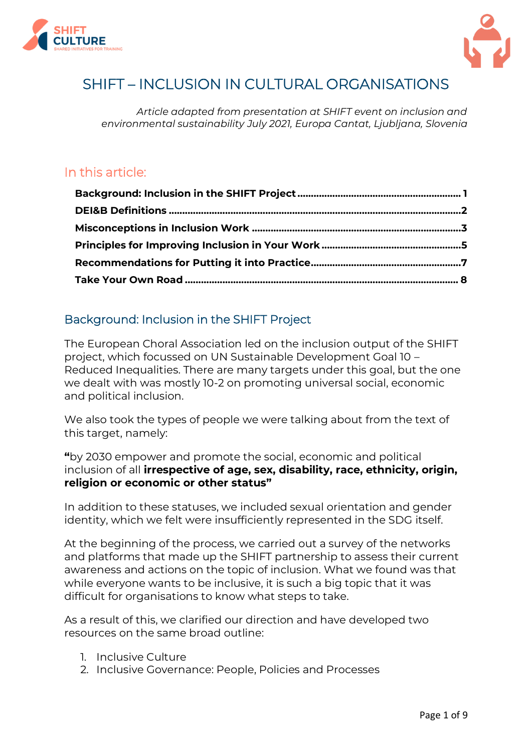



# SHIFT – INCLUSION IN CULTURAL ORGANISATIONS

*Article adapted from presentation at SHIFT event on inclusion and environmental sustainability July 2021, Europa Cantat, Ljubljana, Slovenia*

## In this article:

### <span id="page-0-0"></span>Background: Inclusion in the SHIFT Project

The European Choral Association led on the inclusion output of the SHIFT project, which focussed on UN Sustainable Development Goal 10 – Reduced Inequalities. There are many targets under this goal, but the one we dealt with was mostly 10-2 on promoting universal social, economic and political inclusion.

We also took the types of people we were talking about from the text of this target, namely:

**"**by 2030 empower and promote the social, economic and political inclusion of all **irrespective of age, sex, disability, race, ethnicity, origin, religion or economic or other status"**

In addition to these statuses, we included sexual orientation and gender identity, which we felt were insufficiently represented in the SDG itself.

At the beginning of the process, we carried out a survey of the networks and platforms that made up the SHIFT partnership to assess their current awareness and actions on the topic of inclusion. What we found was that while everyone wants to be inclusive, it is such a big topic that it was difficult for organisations to know what steps to take.

As a result of this, we clarified our direction and have developed two resources on the same broad outline:

- 1. Inclusive Culture
- 2. Inclusive Governance: People, Policies and Processes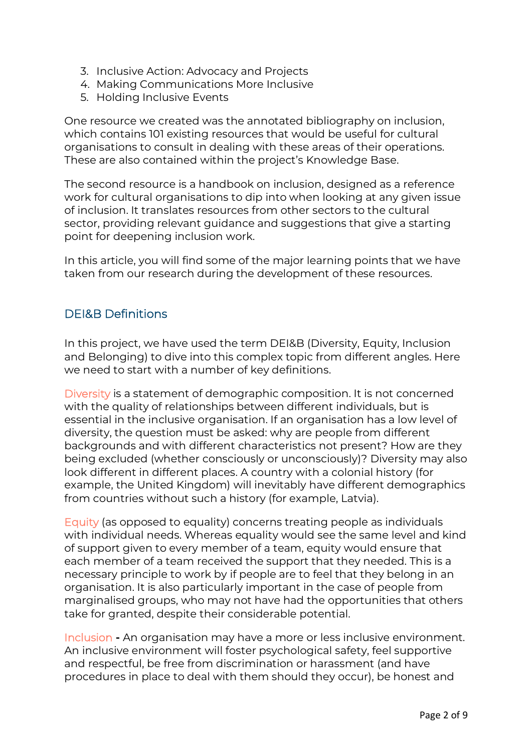- 3. Inclusive Action: Advocacy and Projects
- 4. Making Communications More Inclusive
- 5. Holding Inclusive Events

One resource we created was the annotated bibliography on inclusion, which contains 101 existing resources that would be useful for cultural organisations to consult in dealing with these areas of their operations. These are also contained within the project's Knowledge Base.

The second resource is a handbook on inclusion, designed as a reference work for cultural organisations to dip into when looking at any given issue of inclusion. It translates resources from other sectors to the cultural sector, providing relevant guidance and suggestions that give a starting point for deepening inclusion work.

In this article, you will find some of the major learning points that we have taken from our research during the development of these resources.

### <span id="page-1-0"></span>DEI&B Definitions

In this project, we have used the term DEI&B (Diversity, Equity, Inclusion and Belonging) to dive into this complex topic from different angles. Here we need to start with a number of key definitions.

Diversity is a statement of demographic composition. It is not concerned with the quality of relationships between different individuals, but is essential in the inclusive organisation. If an organisation has a low level of diversity, the question must be asked: why are people from different backgrounds and with different characteristics not present? How are they being excluded (whether consciously or unconsciously)? Diversity may also look different in different places. A country with a colonial history (for example, the United Kingdom) will inevitably have different demographics from countries without such a history (for example, Latvia).

Equity (as opposed to equality) concerns treating people as individuals with individual needs. Whereas equality would see the same level and kind of support given to every member of a team, equity would ensure that each member of a team received the support that they needed. This is a necessary principle to work by if people are to feel that they belong in an organisation. It is also particularly important in the case of people from marginalised groups, who may not have had the opportunities that others take for granted, despite their considerable potential.

Inclusion **-** An organisation may have a more or less inclusive environment. An inclusive environment will foster psychological safety, feel supportive and respectful, be free from discrimination or harassment (and have procedures in place to deal with them should they occur), be honest and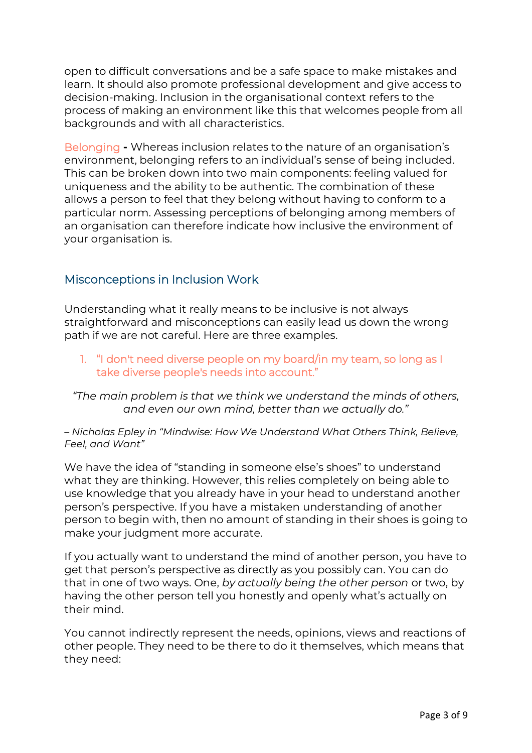open to difficult conversations and be a safe space to make mistakes and learn. It should also promote professional development and give access to decision-making. Inclusion in the organisational context refers to the process of making an environment like this that welcomes people from all backgrounds and with all characteristics.

Belonging **-** Whereas inclusion relates to the nature of an organisation's environment, belonging refers to an individual's sense of being included. This can be broken down into two main components: feeling valued for uniqueness and the ability to be authentic. The combination of these allows a person to feel that they belong without having to conform to a particular norm. Assessing perceptions of belonging among members of an organisation can therefore indicate how inclusive the environment of your organisation is.

#### <span id="page-2-0"></span>Misconceptions in Inclusion Work

Understanding what it really means to be inclusive is not always straightforward and misconceptions can easily lead us down the wrong path if we are not careful. Here are three examples.

1. "I don't need diverse people on my board/in my team, so long as I take diverse people's needs into account."

*"The main problem is that we think we understand the minds of others, and even our own mind, better than we actually do."*

*– Nicholas Epley in "Mindwise: How We Understand What Others Think, Believe, Feel, and Want"*

We have the idea of "standing in someone else's shoes" to understand what they are thinking. However, this relies completely on being able to use knowledge that you already have in your head to understand another person's perspective. If you have a mistaken understanding of another person to begin with, then no amount of standing in their shoes is going to make your judgment more accurate.

If you actually want to understand the mind of another person, you have to get that person's perspective as directly as you possibly can. You can do that in one of two ways. One, *by actually being the other person* or two, by having the other person tell you honestly and openly what's actually on their mind.

You cannot indirectly represent the needs, opinions, views and reactions of other people. They need to be there to do it themselves, which means that they need: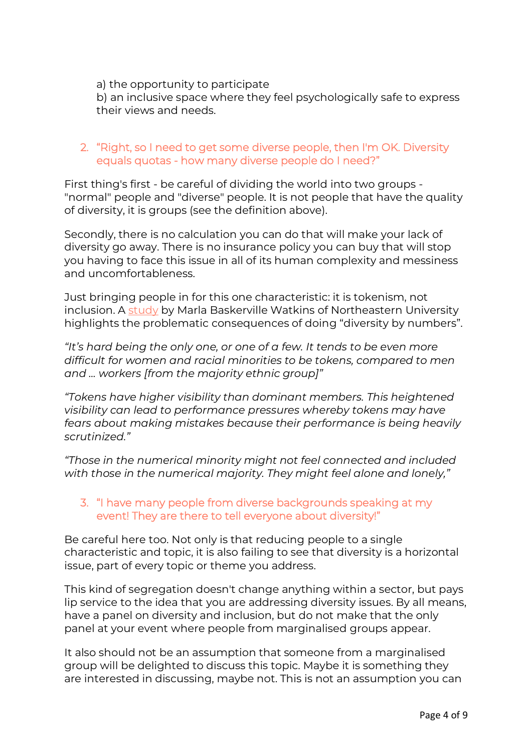#### a) the opportunity to participate

b) an inclusive space where they feel psychologically safe to express their views and needs.

#### 2. "Right, so I need to get some diverse people, then I'm OK. Diversity equals quotas - how many diverse people do I need?"

First thing's first - be careful of dividing the world into two groups - "normal" people and "diverse" people. It is not people that have the quality of diversity, it is groups (see the definition above).

Secondly, there is no calculation you can do that will make your lack of diversity go away. There is no insurance policy you can buy that will stop you having to face this issue in all of its human complexity and messiness and uncomfortableness.

Just bringing people in for this one characteristic: it is tokenism, not inclusion. A [study](https://www.canvas8.com/library/signals/2020/06/19/workplace-tokenism) by Marla Baskerville Watkins of Northeastern University highlights the problematic consequences of doing "diversity by numbers".

*"It's hard being the only one, or one of a few. It tends to be even more difficult for women and racial minorities to be tokens, compared to men and ... workers [from the majority ethnic group]"*

*"Tokens have higher visibility than dominant members. This heightened visibility can lead to performance pressures whereby tokens may have fears about making mistakes because their performance is being heavily scrutinized."*

*"Those in the numerical minority might not feel connected and included with those in the numerical majority. They might feel alone and lonely,"*

#### 3. "I have many people from diverse backgrounds speaking at my event! They are there to tell everyone about diversity!"

Be careful here too. Not only is that reducing people to a single characteristic and topic, it is also failing to see that diversity is a horizontal issue, part of every topic or theme you address.

This kind of segregation doesn't change anything within a sector, but pays lip service to the idea that you are addressing diversity issues. By all means, have a panel on diversity and inclusion, but do not make that the only panel at your event where people from marginalised groups appear.

It also should not be an assumption that someone from a marginalised group will be delighted to discuss this topic. Maybe it is something they are interested in discussing, maybe not. This is not an assumption you can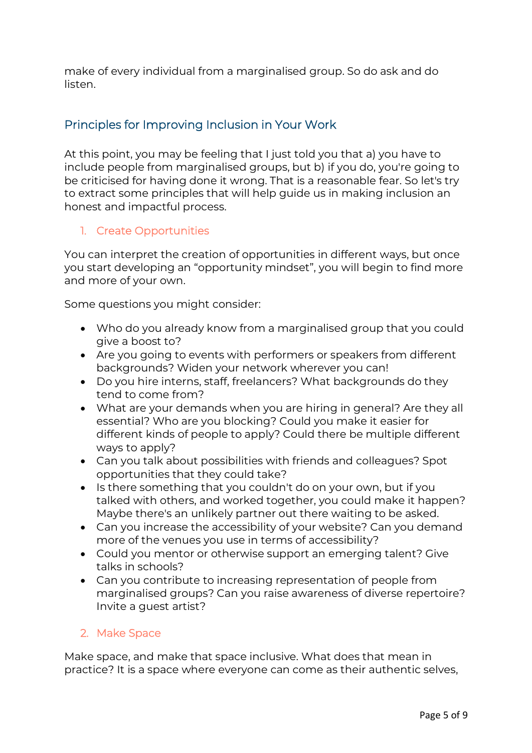make of every individual from a marginalised group. So do ask and do listen.

### <span id="page-4-0"></span>Principles for Improving Inclusion in Your Work

At this point, you may be feeling that I just told you that a) you have to include people from marginalised groups, but b) if you do, you're going to be criticised for having done it wrong. That is a reasonable fear. So let's try to extract some principles that will help guide us in making inclusion an honest and impactful process.

#### 1. Create Opportunities

You can interpret the creation of opportunities in different ways, but once you start developing an "opportunity mindset", you will begin to find more and more of your own.

Some questions you might consider:

- Who do you already know from a marginalised group that you could give a boost to?
- Are you going to events with performers or speakers from different backgrounds? Widen your network wherever you can!
- Do you hire interns, staff, freelancers? What backgrounds do they tend to come from?
- What are your demands when you are hiring in general? Are they all essential? Who are you blocking? Could you make it easier for different kinds of people to apply? Could there be multiple different ways to apply?
- Can you talk about possibilities with friends and colleagues? Spot opportunities that they could take?
- Is there something that you couldn't do on your own, but if you talked with others, and worked together, you could make it happen? Maybe there's an unlikely partner out there waiting to be asked.
- Can you increase the accessibility of your website? Can you demand more of the venues you use in terms of accessibility?
- Could you mentor or otherwise support an emerging talent? Give talks in schools?
- Can you contribute to increasing representation of people from marginalised groups? Can you raise awareness of diverse repertoire? Invite a guest artist?

#### 2. Make Space

Make space, and make that space inclusive. What does that mean in practice? It is a space where everyone can come as their authentic selves,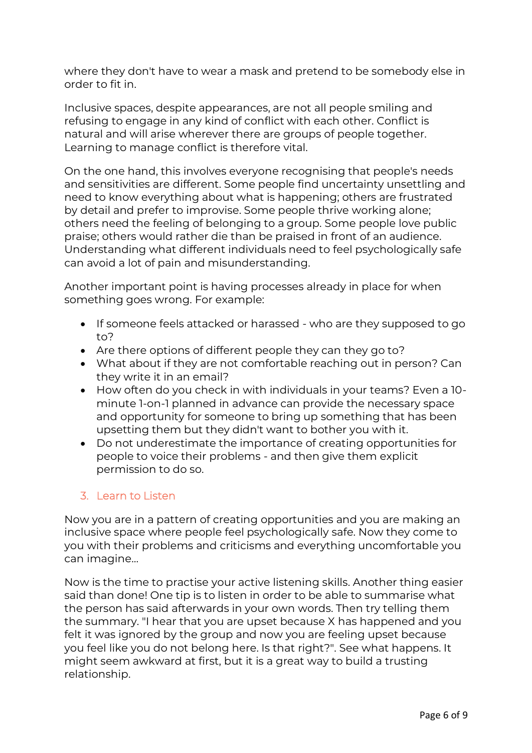where they don't have to wear a mask and pretend to be somebody else in order to fit in.

Inclusive spaces, despite appearances, are not all people smiling and refusing to engage in any kind of conflict with each other. Conflict is natural and will arise wherever there are groups of people together. Learning to manage conflict is therefore vital.

On the one hand, this involves everyone recognising that people's needs and sensitivities are different. Some people find uncertainty unsettling and need to know everything about what is happening; others are frustrated by detail and prefer to improvise. Some people thrive working alone; others need the feeling of belonging to a group. Some people love public praise; others would rather die than be praised in front of an audience. Understanding what different individuals need to feel psychologically safe can avoid a lot of pain and misunderstanding.

Another important point is having processes already in place for when something goes wrong. For example:

- If someone feels attacked or harassed who are they supposed to go to?
- Are there options of different people they can they go to?
- What about if they are not comfortable reaching out in person? Can they write it in an email?
- How often do you check in with individuals in your teams? Even a 10 minute 1-on-1 planned in advance can provide the necessary space and opportunity for someone to bring up something that has been upsetting them but they didn't want to bother you with it.
- Do not underestimate the importance of creating opportunities for people to voice their problems - and then give them explicit permission to do so.

#### 3. Learn to Listen

Now you are in a pattern of creating opportunities and you are making an inclusive space where people feel psychologically safe. Now they come to you with their problems and criticisms and everything uncomfortable you can imagine…

Now is the time to practise your active listening skills. Another thing easier said than done! One tip is to listen in order to be able to summarise what the person has said afterwards in your own words. Then try telling them the summary. "I hear that you are upset because X has happened and you felt it was ignored by the group and now you are feeling upset because you feel like you do not belong here. Is that right?". See what happens. It might seem awkward at first, but it is a great way to build a trusting relationship.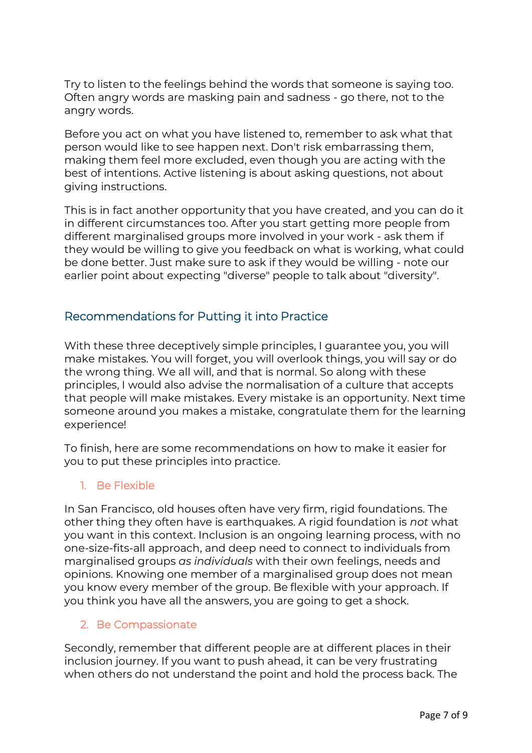Try to listen to the feelings behind the words that someone is saying too. Often angry words are masking pain and sadness - go there, not to the angry words.

Before you act on what you have listened to, remember to ask what that person would like to see happen next. Don't risk embarrassing them, making them feel more excluded, even though you are acting with the best of intentions. Active listening is about asking questions, not about giving instructions.

This is in fact another opportunity that you have created, and you can do it in different circumstances too. After you start getting more people from different marginalised groups more involved in your work - ask them if they would be willing to give you feedback on what is working, what could be done better. Just make sure to ask if they would be willing - note our earlier point about expecting "diverse" people to talk about "diversity".

### <span id="page-6-0"></span>Recommendations for Putting it into Practice

With these three deceptively simple principles, I guarantee you, you will make mistakes. You will forget, you will overlook things, you will say or do the wrong thing. We all will, and that is normal. So along with these principles, I would also advise the normalisation of a culture that accepts that people will make mistakes. Every mistake is an opportunity. Next time someone around you makes a mistake, congratulate them for the learning experience!

To finish, here are some recommendations on how to make it easier for you to put these principles into practice.

#### 1. Be Flexible

In San Francisco, old houses often have very firm, rigid foundations. The other thing they often have is earthquakes. A rigid foundation is *not* what you want in this context. Inclusion is an ongoing learning process, with no one-size-fits-all approach, and deep need to connect to individuals from marginalised groups *as individuals* with their own feelings, needs and opinions. Knowing one member of a marginalised group does not mean you know every member of the group. Be flexible with your approach. If you think you have all the answers, you are going to get a shock.

#### 2. Be Compassionate

Secondly, remember that different people are at different places in their inclusion journey. If you want to push ahead, it can be very frustrating when others do not understand the point and hold the process back. The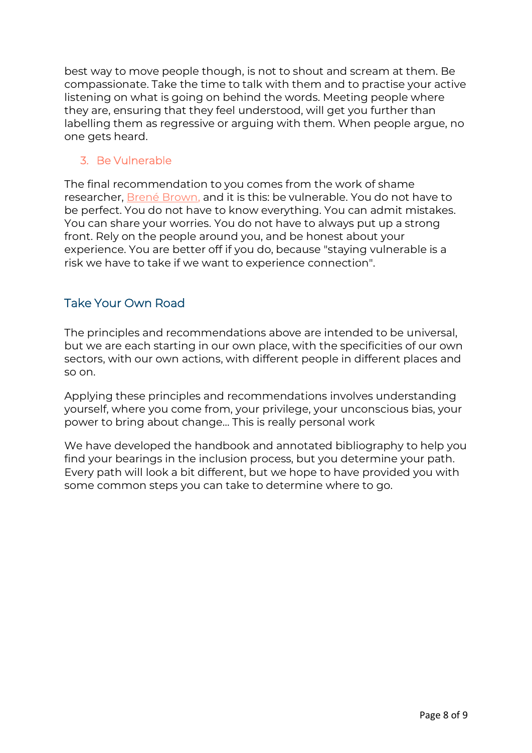best way to move people though, is not to shout and scream at them. Be compassionate. Take the time to talk with them and to practise your active listening on what is going on behind the words. Meeting people where they are, ensuring that they feel understood, will get you further than labelling them as regressive or arguing with them. When people argue, no one gets heard.

#### 3. Be Vulnerable

The final recommendation to you comes from the work of shame researcher, [Brené Brown,](https://brenebrown.com/) and it is this: be vulnerable. You do not have to be perfect. You do not have to know everything. You can admit mistakes. You can share your worries. You do not have to always put up a strong front. Rely on the people around you, and be honest about your experience. You are better off if you do, because "staying vulnerable is a risk we have to take if we want to experience connection".

### <span id="page-7-0"></span>Take Your Own Road

The principles and recommendations above are intended to be universal, but we are each starting in our own place, with the specificities of our own sectors, with our own actions, with different people in different places and so on.

Applying these principles and recommendations involves understanding yourself, where you come from, your privilege, your unconscious bias, your power to bring about change… This is really personal work

We have developed the handbook and annotated bibliography to help you find your bearings in the inclusion process, but you determine your path. Every path will look a bit different, but we hope to have provided you with some common steps you can take to determine where to go.